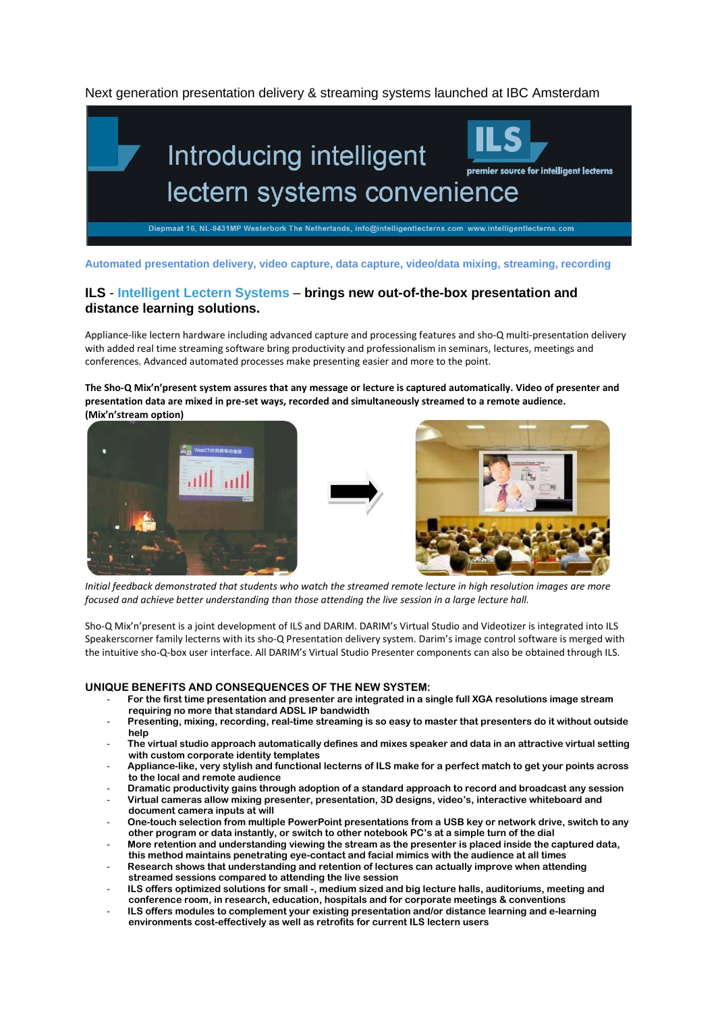Next generation presentation delivery & streaming systems launched at IBC Amsterdam



**Automated presentation delivery, video capture, data capture, video/data mixing, streaming, recording**

# **ILS** - **Intelligent Lectern Systems** – **brings new out-of-the-box presentation and distance learning solutions.**

Appliance-like lectern hardware including advanced capture and processing features and sho-Q multi-presentation delivery with added real time streaming software bring productivity and professionalism in seminars, lectures, meetings and conferences. Advanced automated processes make presenting easier and more to the point.

**The Sho-Q Mix'n'present system assures that any message or lecture is captured automatically. Video of presenter and presentation data are mixed in pre-set ways, recorded and simultaneously streamed to a remote audience. (Mix'n'stream option)**





*Initial feedback demonstrated that students who watch the streamed remote lecture in high resolution images are more focused and achieve better understanding than those attending the live session in a large lecture hall.*

Sho-Q Mix'n'present is a joint development of ILS and DARIM. DARIM's Virtual Studio and Videotizer is integrated into ILS Speakerscorner family lecterns with its sho-Q Presentation delivery system. Darim's image control software is merged with the intuitive sho-Q-box user interface. All DARIM's Virtual Studio Presenter components can also be obtained through ILS.

# **UNIQUE BENEFITS AND CONSEQUENCES OF THE NEW SYSTEM:**

- **For the first time presentation and presenter are integrated in a single full XGA resolutions image stream requiring no more that standard ADSL IP bandwidth**
- **Presenting, mixing, recording, real-time streaming is so easy to master that presenters do it without outside help**
- **The virtual studio approach automatically defines and mixes speaker and data in an attractive virtual setting with custom corporate identity templates**
- **Appliance-like, very stylish and functional lecterns of ILS make for a perfect match to get your points across to the local and remote audience**
- **Dramatic productivity gains through adoption of a standard approach to record and broadcast any session**
- **Virtual cameras allow mixing presenter, presentation, 3D designs, video's, interactive whiteboard and document camera inputs at will**
- **One-touch selection from multiple PowerPoint presentations from a USB key or network drive, switch to any other program or data instantly, or switch to other notebook PC's at a simple turn of the dial**
- **More retention and understanding viewing the stream as the presenter is placed inside the captured data, this method maintains penetrating eye-contact and facial mimics with the audience at all times**
- **Research shows that understanding and retention of lectures can actually improve when attending streamed sessions compared to attending the live session**
- **ILS offers optimized solutions for small -, medium sized and big lecture halls, auditoriums, meeting and conference room, in research, education, hospitals and for corporate meetings & conventions**
- **ILS offers modules to complement your existing presentation and/or distance learning and e-learning environments cost-effectively as well as retrofits for current ILS lectern users**